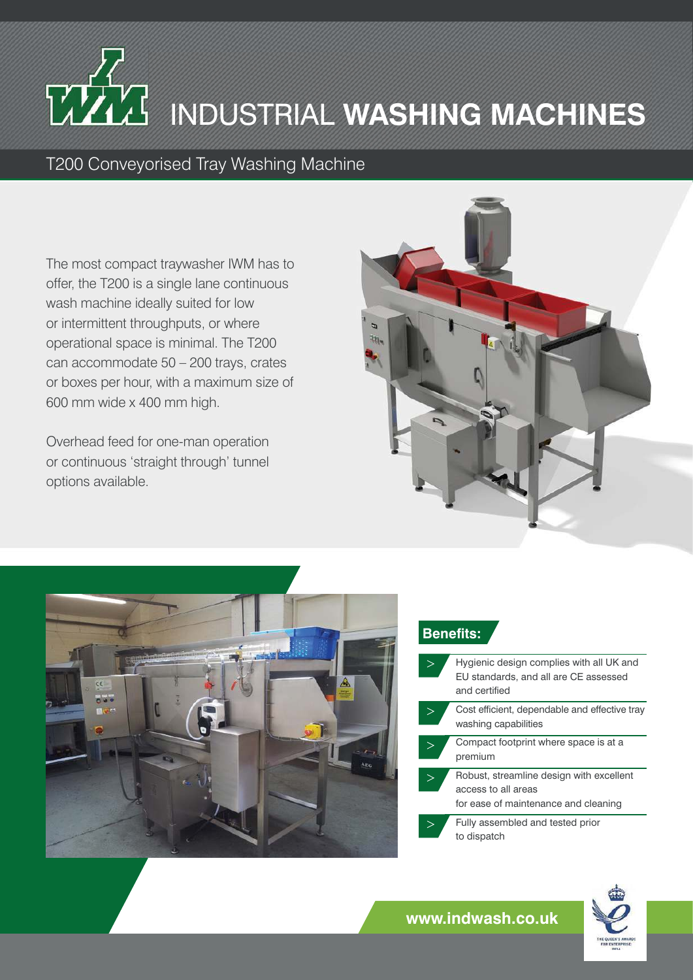## INDUSTRIAL **WASHING MACHINES**

T200 Conveyorised Tray Washing Machine

The most compact traywasher IWM has to offer, the T200 is a single lane continuous wash machine ideally suited for low or intermittent throughputs, or where operational space is minimal. The T200 can accommodate 50 – 200 trays, crates or boxes per hour, with a maximum size of 600 mm wide x 400 mm high.

Overhead feed for one-man operation or continuous 'straight through' tunnel options available.





## **Benefits:**

|  | Hygienic design complies with all UK and<br>EU standards, and all are CE assessed<br>and certified      |
|--|---------------------------------------------------------------------------------------------------------|
|  |                                                                                                         |
|  | Cost efficient, dependable and effective tray<br>washing capabilities                                   |
|  | Compact footprint where space is at a<br>premium                                                        |
|  | Robust, streamline design with excellent<br>access to all areas<br>for ease of maintenance and cleaning |
|  |                                                                                                         |
|  | Fully assembled and tested prior<br>to dispatch                                                         |



**www.indwash.co.uk**